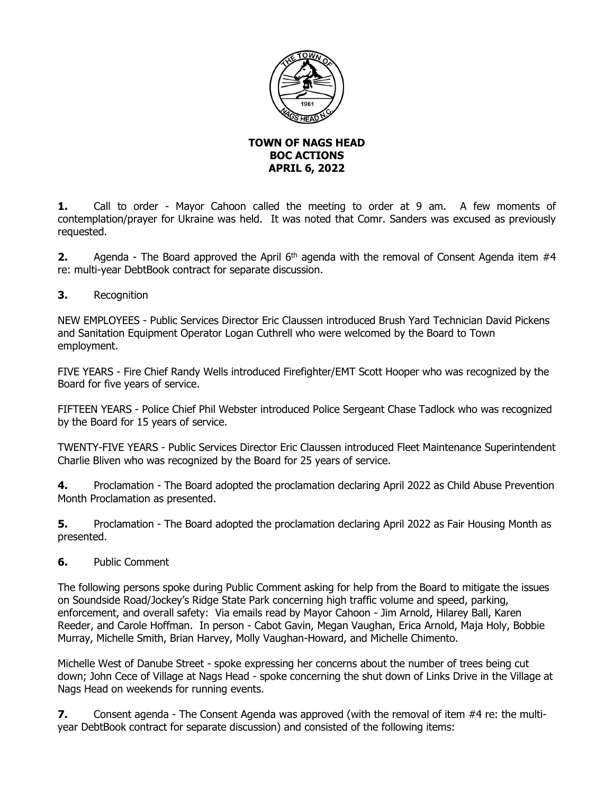

## **TOWN OF NAGS HEAD BOC ACTIONS APRIL 6, 2022**

**1.** Call to order - Mayor Cahoon called the meeting to order at 9 am. A few moments of contemplation/prayer for Ukraine was held. It was noted that Comr. Sanders was excused as previously requested.

**2.** Agenda - The Board approved the April 6<sup>th</sup> agenda with the removal of Consent Agenda item #4 re: multi-year DebtBook contract for separate discussion.

**3.** Recognition

NEW EMPLOYEES - Public Services Director Eric Claussen introduced Brush Yard Technician David Pickens and Sanitation Equipment Operator Logan Cuthrell who were welcomed by the Board to Town employment.

FIVE YEARS - Fire Chief Randy Wells introduced Firefighter/EMT Scott Hooper who was recognized by the Board for five years of service.

FIFTEEN YEARS - Police Chief Phil Webster introduced Police Sergeant Chase Tadlock who was recognized by the Board for 15 years of service.

TWENTY-FIVE YEARS - Public Services Director Eric Claussen introduced Fleet Maintenance Superintendent Charlie Bliven who was recognized by the Board for 25 years of service.

**4.** Proclamation - The Board adopted the proclamation declaring April 2022 as Child Abuse Prevention Month Proclamation as presented.

**5.** Proclamation - The Board adopted the proclamation declaring April 2022 as Fair Housing Month as presented.

**6.** Public Comment

The following persons spoke during Public Comment asking for help from the Board to mitigate the issues on Soundside Road/Jockey's Ridge State Park concerning high traffic volume and speed, parking, enforcement, and overall safety: Via emails read by Mayor Cahoon - Jim Arnold, Hilarey Ball, Karen Reeder, and Carole Hoffman. In person - Cabot Gavin, Megan Vaughan, Erica Arnold, Maja Holy, Bobbie Murray, Michelle Smith, Brian Harvey, Molly Vaughan-Howard, and Michelle Chimento.

Michelle West of Danube Street - spoke expressing her concerns about the number of trees being cut down; John Cece of Village at Nags Head - spoke concerning the shut down of Links Drive in the Village at Nags Head on weekends for running events.

**7.** Consent agenda - The Consent Agenda was approved (with the removal of item #4 re: the multiyear DebtBook contract for separate discussion) and consisted of the following items: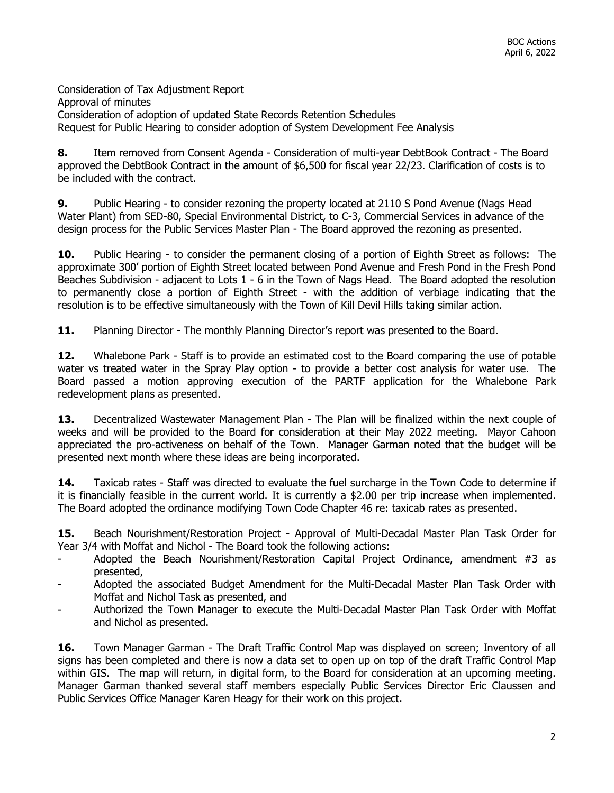Consideration of Tax Adjustment Report Approval of minutes Consideration of adoption of updated State Records Retention Schedules Request for Public Hearing to consider adoption of System Development Fee Analysis

**8.** Item removed from Consent Agenda - Consideration of multi-year DebtBook Contract - The Board approved the DebtBook Contract in the amount of \$6,500 for fiscal year 22/23. Clarification of costs is to be included with the contract.

**9.** Public Hearing - to consider rezoning the property located at 2110 S Pond Avenue (Nags Head Water Plant) from SED-80, Special Environmental District, to C-3, Commercial Services in advance of the design process for the Public Services Master Plan - The Board approved the rezoning as presented.

**10.** Public Hearing - to consider the permanent closing of a portion of Eighth Street as follows: The approximate 300' portion of Eighth Street located between Pond Avenue and Fresh Pond in the Fresh Pond Beaches Subdivision - adjacent to Lots 1 - 6 in the Town of Nags Head. The Board adopted the resolution to permanently close a portion of Eighth Street - with the addition of verbiage indicating that the resolution is to be effective simultaneously with the Town of Kill Devil Hills taking similar action.

**11.** Planning Director - The monthly Planning Director's report was presented to the Board.

**12.** Whalebone Park - Staff is to provide an estimated cost to the Board comparing the use of potable water vs treated water in the Spray Play option - to provide a better cost analysis for water use. The Board passed a motion approving execution of the PARTF application for the Whalebone Park redevelopment plans as presented.

**13.** Decentralized Wastewater Management Plan - The Plan will be finalized within the next couple of weeks and will be provided to the Board for consideration at their May 2022 meeting. Mayor Cahoon appreciated the pro-activeness on behalf of the Town. Manager Garman noted that the budget will be presented next month where these ideas are being incorporated.

**14.** Taxicab rates - Staff was directed to evaluate the fuel surcharge in the Town Code to determine if it is financially feasible in the current world. It is currently a \$2.00 per trip increase when implemented. The Board adopted the ordinance modifying Town Code Chapter 46 re: taxicab rates as presented.

**15.** Beach Nourishment/Restoration Project - Approval of Multi-Decadal Master Plan Task Order for Year 3/4 with Moffat and Nichol - The Board took the following actions:

- Adopted the Beach Nourishment/Restoration Capital Project Ordinance, amendment  $#3$  as presented,
- Adopted the associated Budget Amendment for the Multi-Decadal Master Plan Task Order with Moffat and Nichol Task as presented, and
- Authorized the Town Manager to execute the Multi-Decadal Master Plan Task Order with Moffat and Nichol as presented.

**16.** Town Manager Garman - The Draft Traffic Control Map was displayed on screen; Inventory of all signs has been completed and there is now a data set to open up on top of the draft Traffic Control Map within GIS. The map will return, in digital form, to the Board for consideration at an upcoming meeting. Manager Garman thanked several staff members especially Public Services Director Eric Claussen and Public Services Office Manager Karen Heagy for their work on this project.